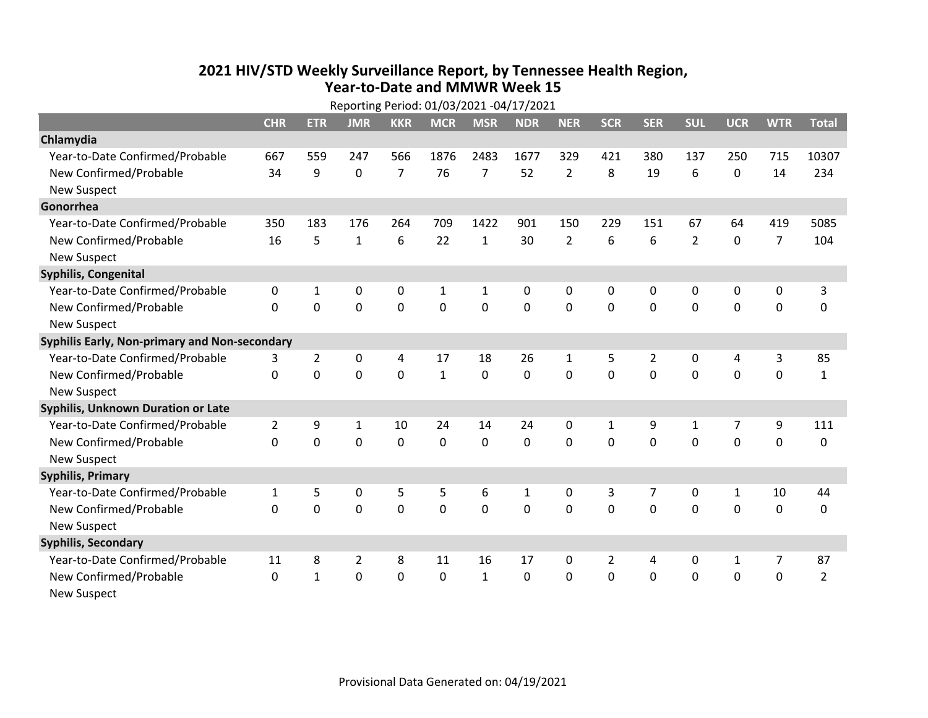## **2021 HIV /STD Weekly Surveillance Report, by Tennessee Health Region, Year‐to‐Date and MMWR Week 15** Reporting Period: 01/03/2021 ‐04/17/2021

| Reporting Period: 01/03/2021 -04/17/2021      |                |                |                |                |              |                |            |                |                |                |                |                |                |                |
|-----------------------------------------------|----------------|----------------|----------------|----------------|--------------|----------------|------------|----------------|----------------|----------------|----------------|----------------|----------------|----------------|
|                                               | <b>CHR</b>     | <b>ETR</b>     | <b>JMR</b>     | <b>KKR</b>     | <b>MCR</b>   | <b>MSR</b>     | <b>NDR</b> | <b>NER</b>     | <b>SCR</b>     | <b>SER</b>     | <b>SUL</b>     | <b>UCR</b>     | <b>WTR</b>     | <b>Total</b>   |
| Chlamydia                                     |                |                |                |                |              |                |            |                |                |                |                |                |                |                |
| Year-to-Date Confirmed/Probable               | 667            | 559            | 247            | 566            | 1876         | 2483           | 1677       | 329            | 421            | 380            | 137            | 250            | 715            | 10307          |
| New Confirmed/Probable                        | 34             | 9              | 0              | $\overline{7}$ | 76           | $\overline{7}$ | 52         | $\overline{2}$ | 8              | 19             | 6              | 0              | 14             | 234            |
| <b>New Suspect</b>                            |                |                |                |                |              |                |            |                |                |                |                |                |                |                |
| Gonorrhea                                     |                |                |                |                |              |                |            |                |                |                |                |                |                |                |
| Year-to-Date Confirmed/Probable               | 350            | 183            | 176            | 264            | 709          | 1422           | 901        | 150            | 229            | 151            | 67             | 64             | 419            | 5085           |
| New Confirmed/Probable                        | 16             | 5              | $\mathbf{1}$   | 6              | 22           | $\mathbf{1}$   | 30         | $\overline{2}$ | 6              | 6              | $\overline{2}$ | $\mathbf 0$    | $\overline{7}$ | 104            |
| <b>New Suspect</b>                            |                |                |                |                |              |                |            |                |                |                |                |                |                |                |
| <b>Syphilis, Congenital</b>                   |                |                |                |                |              |                |            |                |                |                |                |                |                |                |
| Year-to-Date Confirmed/Probable               | 0              | 1              | 0              | 0              | 1            | $\mathbf{1}$   | 0          | 0              | 0              | 0              | 0              | 0              | 0              | 3              |
| New Confirmed/Probable                        | $\Omega$       | 0              | 0              | 0              | $\mathbf 0$  | $\mathbf 0$    | 0          | $\mathbf 0$    | 0              | $\mathbf 0$    | $\mathbf 0$    | $\mathbf 0$    | $\mathbf 0$    | 0              |
| <b>New Suspect</b>                            |                |                |                |                |              |                |            |                |                |                |                |                |                |                |
| Syphilis Early, Non-primary and Non-secondary |                |                |                |                |              |                |            |                |                |                |                |                |                |                |
| Year-to-Date Confirmed/Probable               | 3              | $\overline{2}$ | 0              | 4              | 17           | 18             | 26         | $\mathbf{1}$   | 5              | $\overline{2}$ | 0              | 4              | 3              | 85             |
| New Confirmed/Probable                        | $\Omega$       | $\mathbf 0$    | $\Omega$       | $\Omega$       | $\mathbf{1}$ | 0              | $\Omega$   | $\Omega$       | $\Omega$       | $\mathbf{0}$   | $\Omega$       | $\mathbf 0$    | $\mathbf 0$    | $\mathbf{1}$   |
| <b>New Suspect</b>                            |                |                |                |                |              |                |            |                |                |                |                |                |                |                |
| Syphilis, Unknown Duration or Late            |                |                |                |                |              |                |            |                |                |                |                |                |                |                |
| Year-to-Date Confirmed/Probable               | $\overline{2}$ | 9              | $\mathbf{1}$   | 10             | 24           | 14             | 24         | $\mathbf{0}$   | $\mathbf{1}$   | 9              | 1              | $\overline{7}$ | 9              | 111            |
| New Confirmed/Probable                        | $\Omega$       | 0              | 0              | 0              | 0            | 0              | $\Omega$   | $\Omega$       | $\Omega$       | $\mathbf{0}$   | $\Omega$       | $\mathbf 0$    | $\mathbf 0$    | 0              |
| <b>New Suspect</b>                            |                |                |                |                |              |                |            |                |                |                |                |                |                |                |
| <b>Syphilis, Primary</b>                      |                |                |                |                |              |                |            |                |                |                |                |                |                |                |
| Year-to-Date Confirmed/Probable               | 1              | 5              | 0              | 5              | 5            | 6              | 1          | 0              | 3              | 7              | 0              | $\mathbf{1}$   | 10             | 44             |
| New Confirmed/Probable                        | 0              | 0              | 0              | 0              | $\mathbf 0$  | $\mathbf 0$    | 0          | $\Omega$       | $\Omega$       | $\mathbf 0$    | 0              | 0              | $\mathbf 0$    | 0              |
| <b>New Suspect</b>                            |                |                |                |                |              |                |            |                |                |                |                |                |                |                |
| <b>Syphilis, Secondary</b>                    |                |                |                |                |              |                |            |                |                |                |                |                |                |                |
| Year-to-Date Confirmed/Probable               | 11             | 8              | $\overline{2}$ | 8              | 11           | 16             | 17         | $\mathbf{0}$   | $\overline{2}$ | 4              | $\mathbf{0}$   | $\mathbf{1}$   | $\overline{7}$ | 87             |
| New Confirmed/Probable                        | $\Omega$       | $\mathbf{1}$   | 0              | 0              | $\mathbf 0$  | $\mathbf{1}$   | $\Omega$   | $\Omega$       | $\Omega$       | $\mathbf 0$    | $\mathbf 0$    | $\mathbf 0$    | $\mathbf 0$    | $\overline{2}$ |
| New Suspect                                   |                |                |                |                |              |                |            |                |                |                |                |                |                |                |